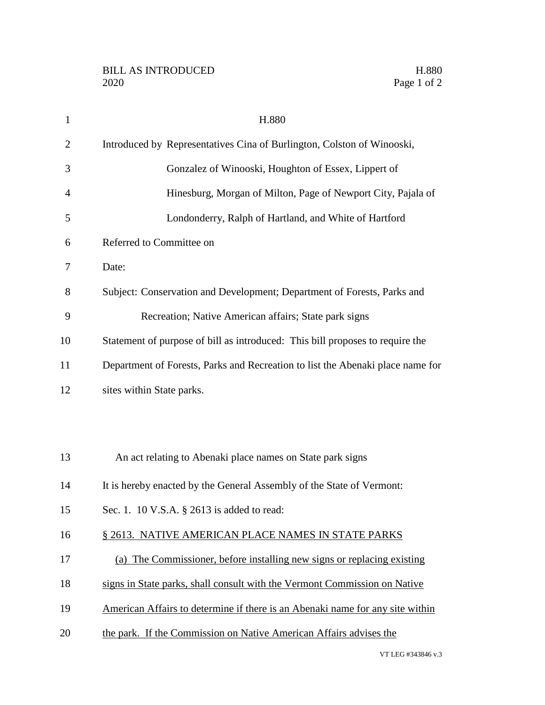| $\mathbf{1}$   | H.880                                                                          |
|----------------|--------------------------------------------------------------------------------|
| $\overline{2}$ | Introduced by Representatives Cina of Burlington, Colston of Winooski,         |
| 3              | Gonzalez of Winooski, Houghton of Essex, Lippert of                            |
| $\overline{4}$ | Hinesburg, Morgan of Milton, Page of Newport City, Pajala of                   |
| 5              | Londonderry, Ralph of Hartland, and White of Hartford                          |
| 6              | Referred to Committee on                                                       |
| 7              | Date:                                                                          |
| 8              | Subject: Conservation and Development; Department of Forests, Parks and        |
| 9              | Recreation; Native American affairs; State park signs                          |
| 10             | Statement of purpose of bill as introduced: This bill proposes to require the  |
| 11             | Department of Forests, Parks and Recreation to list the Abenaki place name for |
| 12             | sites within State parks.                                                      |
|                |                                                                                |
|                |                                                                                |
| 13             | An act relating to Abenaki place names on State park signs                     |
| 14             | It is hereby enacted by the General Assembly of the State of Vermont:          |
| 15             | Sec. 1. 10 V.S.A. § 2613 is added to read:                                     |
| 16             | § 2613. NATIVE AMERICAN PLACE NAMES IN STATE PARKS                             |
| 17             | (a) The Commissioner, before installing new signs or replacing existing        |
| 18             | signs in State parks, shall consult with the Vermont Commission on Native      |
| 19             | American Affairs to determine if there is an Abenaki name for any site within  |
| 20             | the park. If the Commission on Native American Affairs advises the             |